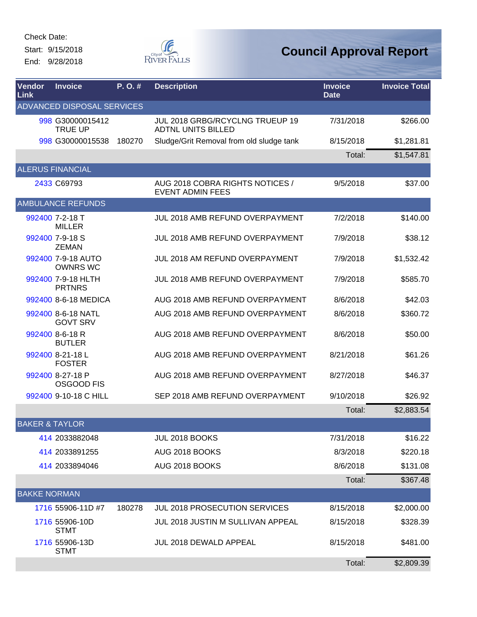Start: 9/15/2018 End: 9/28/2018



| Vendor<br>Link            | <b>Invoice</b>                        | P.O.#  | <b>Description</b>                                           | <b>Invoice</b><br><b>Date</b> | <b>Invoice Total</b> |
|---------------------------|---------------------------------------|--------|--------------------------------------------------------------|-------------------------------|----------------------|
|                           | ADVANCED DISPOSAL SERVICES            |        |                                                              |                               |                      |
|                           | 998 G30000015412<br><b>TRUE UP</b>    |        | JUL 2018 GRBG/RCYCLNG TRUEUP 19<br><b>ADTNL UNITS BILLED</b> | 7/31/2018                     | \$266.00             |
|                           | 998 G30000015538                      | 180270 | Sludge/Grit Removal from old sludge tank                     | 8/15/2018                     | \$1,281.81           |
|                           |                                       |        |                                                              | Total:                        | \$1,547.81           |
|                           | <b>ALERUS FINANCIAL</b>               |        |                                                              |                               |                      |
|                           | 2433 C69793                           |        | AUG 2018 COBRA RIGHTS NOTICES /<br><b>EVENT ADMIN FEES</b>   | 9/5/2018                      | \$37.00              |
|                           | <b>AMBULANCE REFUNDS</b>              |        |                                                              |                               |                      |
|                           | 992400 7-2-18 T<br><b>MILLER</b>      |        | JUL 2018 AMB REFUND OVERPAYMENT                              | 7/2/2018                      | \$140.00             |
|                           | 992400 7-9-18 S<br><b>ZEMAN</b>       |        | JUL 2018 AMB REFUND OVERPAYMENT                              | 7/9/2018                      | \$38.12              |
|                           | 992400 7-9-18 AUTO<br><b>OWNRS WC</b> |        | JUL 2018 AM REFUND OVERPAYMENT                               | 7/9/2018                      | \$1,532.42           |
|                           | 992400 7-9-18 HLTH<br><b>PRTNRS</b>   |        | JUL 2018 AMB REFUND OVERPAYMENT                              | 7/9/2018                      | \$585.70             |
|                           | 992400 8-6-18 MEDICA                  |        | AUG 2018 AMB REFUND OVERPAYMENT                              | 8/6/2018                      | \$42.03              |
|                           | 992400 8-6-18 NATL<br><b>GOVT SRV</b> |        | AUG 2018 AMB REFUND OVERPAYMENT                              | 8/6/2018                      | \$360.72             |
|                           | 992400 8-6-18 R<br><b>BUTLER</b>      |        | AUG 2018 AMB REFUND OVERPAYMENT                              | 8/6/2018                      | \$50.00              |
|                           | 992400 8-21-18L<br><b>FOSTER</b>      |        | AUG 2018 AMB REFUND OVERPAYMENT                              | 8/21/2018                     | \$61.26              |
|                           | 992400 8-27-18 P<br>OSGOOD FIS        |        | AUG 2018 AMB REFUND OVERPAYMENT                              | 8/27/2018                     | \$46.37              |
|                           | 992400 9-10-18 C HILL                 |        | SEP 2018 AMB REFUND OVERPAYMENT                              | 9/10/2018                     | \$26.92              |
|                           |                                       |        |                                                              | Total:                        | \$2,883.54           |
| <b>BAKER &amp; TAYLOR</b> |                                       |        |                                                              |                               |                      |
|                           | 414 2033882048                        |        | JUL 2018 BOOKS                                               | 7/31/2018                     | \$16.22              |
|                           | 414 2033891255                        |        | AUG 2018 BOOKS                                               | 8/3/2018                      | \$220.18             |
|                           | 414 2033894046                        |        | AUG 2018 BOOKS                                               | 8/6/2018                      | \$131.08             |
|                           |                                       |        |                                                              | Total:                        | \$367.48             |
| <b>BAKKE NORMAN</b>       |                                       |        |                                                              |                               |                      |
|                           | 1716 55906-11D #7                     | 180278 | JUL 2018 PROSECUTION SERVICES                                | 8/15/2018                     | \$2,000.00           |
|                           | 1716 55906-10D<br><b>STMT</b>         |        | <b>JUL 2018 JUSTIN M SULLIVAN APPEAL</b>                     | 8/15/2018                     | \$328.39             |
|                           | 1716 55906-13D<br><b>STMT</b>         |        | JUL 2018 DEWALD APPEAL                                       | 8/15/2018                     | \$481.00             |
|                           |                                       |        |                                                              | Total:                        | \$2,809.39           |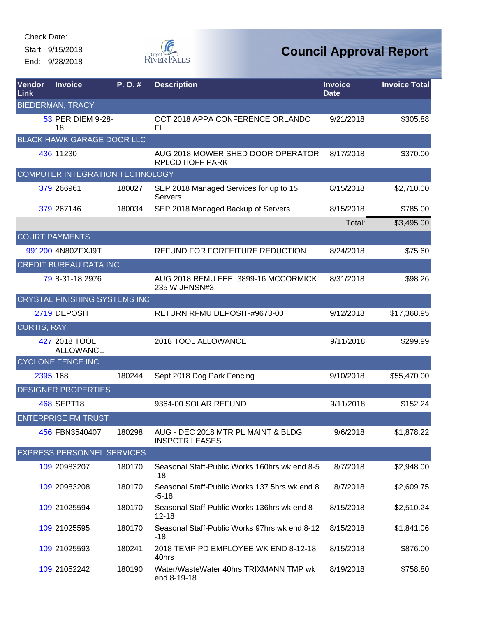Start: 9/15/2018 End: 9/28/2018



| Vendor<br>Link     | <b>Invoice</b>                       | P. O. # | <b>Description</b>                                          | <b>Invoice</b><br><b>Date</b> | <b>Invoice Total</b> |
|--------------------|--------------------------------------|---------|-------------------------------------------------------------|-------------------------------|----------------------|
|                    | <b>BIEDERMAN, TRACY</b>              |         |                                                             |                               |                      |
|                    | 53 PER DIEM 9-28-<br>18              |         | OCT 2018 APPA CONFERENCE ORLANDO<br>FL                      | 9/21/2018                     | \$305.88             |
|                    | <b>BLACK HAWK GARAGE DOOR LLC</b>    |         |                                                             |                               |                      |
|                    | 436 11230                            |         | AUG 2018 MOWER SHED DOOR OPERATOR<br><b>RPLCD HOFF PARK</b> | 8/17/2018                     | \$370.00             |
|                    | COMPUTER INTEGRATION TECHNOLOGY      |         |                                                             |                               |                      |
|                    | 379 266961                           | 180027  | SEP 2018 Managed Services for up to 15<br>Servers           | 8/15/2018                     | \$2,710.00           |
|                    | 379 267146                           | 180034  | SEP 2018 Managed Backup of Servers                          | 8/15/2018                     | \$785.00             |
|                    |                                      |         |                                                             | Total:                        | \$3,495.00           |
|                    | <b>COURT PAYMENTS</b>                |         |                                                             |                               |                      |
|                    | 991200 4N80ZFXJ9T                    |         | REFUND FOR FORFEITURE REDUCTION                             | 8/24/2018                     | \$75.60              |
|                    | <b>CREDIT BUREAU DATA INC</b>        |         |                                                             |                               |                      |
|                    | 79 8-31-18 2976                      |         | AUG 2018 RFMU FEE 3899-16 MCCORMICK<br>235 W JHNSN#3        | 8/31/2018                     | \$98.26              |
|                    | <b>CRYSTAL FINISHING SYSTEMS INC</b> |         |                                                             |                               |                      |
|                    | 2719 DEPOSIT                         |         | RETURN RFMU DEPOSIT-#9673-00                                | 9/12/2018                     | \$17,368.95          |
| <b>CURTIS, RAY</b> |                                      |         |                                                             |                               |                      |
|                    | 427 2018 TOOL<br><b>ALLOWANCE</b>    |         | 2018 TOOL ALLOWANCE                                         | 9/11/2018                     | \$299.99             |
|                    | <b>CYCLONE FENCE INC</b>             |         |                                                             |                               |                      |
|                    | 2395 168                             | 180244  | Sept 2018 Dog Park Fencing                                  | 9/10/2018                     | \$55,470.00          |
|                    | <b>DESIGNER PROPERTIES</b>           |         |                                                             |                               |                      |
|                    | <b>468 SEPT18</b>                    |         | 9364-00 SOLAR REFUND                                        | 9/11/2018                     | \$152.24             |
|                    | <b>ENTERPRISE FM TRUST</b>           |         |                                                             |                               |                      |
|                    | 456 FBN3540407                       | 180298  | AUG - DEC 2018 MTR PL MAINT & BLDG<br><b>INSPCTR LEASES</b> | 9/6/2018                      | \$1,878.22           |
|                    | <b>EXPRESS PERSONNEL SERVICES</b>    |         |                                                             |                               |                      |
|                    | 109 20983207                         | 180170  | Seasonal Staff-Public Works 160hrs wk end 8-5<br>$-18$      | 8/7/2018                      | \$2,948.00           |
|                    | 109 20983208                         | 180170  | Seasonal Staff-Public Works 137.5hrs wk end 8<br>$-5 - 18$  | 8/7/2018                      | \$2,609.75           |
|                    | 109 21025594                         | 180170  | Seasonal Staff-Public Works 136hrs wk end 8-<br>$12 - 18$   | 8/15/2018                     | \$2,510.24           |
|                    | 109 21025595                         | 180170  | Seasonal Staff-Public Works 97hrs wk end 8-12<br>$-18$      | 8/15/2018                     | \$1,841.06           |
|                    | 109 21025593                         | 180241  | 2018 TEMP PD EMPLOYEE WK END 8-12-18<br>40hrs               | 8/15/2018                     | \$876.00             |
|                    | 109 21052242                         | 180190  | Water/WasteWater 40hrs TRIXMANN TMP wk<br>end 8-19-18       | 8/19/2018                     | \$758.80             |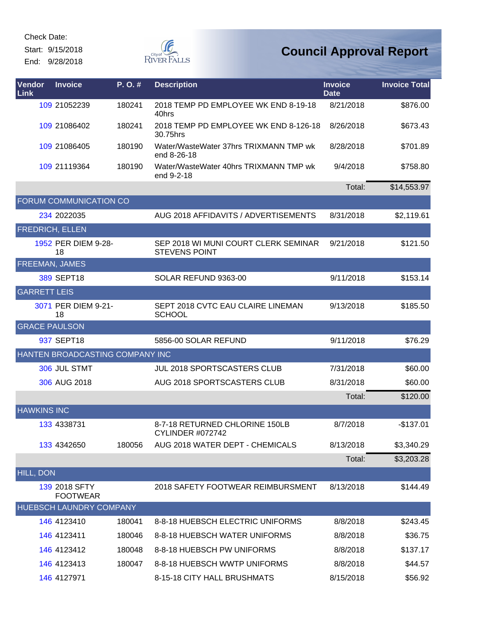Start: 9/15/2018 End: 9/28/2018  $\begin{picture}(120,110) \put(0,0){\line(1,0){150}} \put(15,0){\line(1,0){150}} \put(15,0){\line(1,0){150}} \put(15,0){\line(1,0){150}} \put(15,0){\line(1,0){150}} \put(15,0){\line(1,0){150}} \put(15,0){\line(1,0){150}} \put(15,0){\line(1,0){150}} \put(15,0){\line(1,0){150}} \put(15,0){\line(1,0){150}} \put(15,0){\line(1,0){150$ 

| Vendor<br><b>Link</b>  | <b>Invoice</b>                   | P.O.#  | <b>Description</b>                                           | <b>Invoice</b><br><b>Date</b> | <b>Invoice Total</b> |
|------------------------|----------------------------------|--------|--------------------------------------------------------------|-------------------------------|----------------------|
|                        | 109 21052239                     | 180241 | 2018 TEMP PD EMPLOYEE WK END 8-19-18<br>40hrs                | 8/21/2018                     | \$876.00             |
|                        | 109 21086402                     | 180241 | 2018 TEMP PD EMPLOYEE WK END 8-126-18<br>30.75hrs            | 8/26/2018                     | \$673.43             |
|                        | 109 21086405                     | 180190 | Water/WasteWater 37hrs TRIXMANN TMP wk<br>end 8-26-18        | 8/28/2018                     | \$701.89             |
|                        | 109 21119364                     | 180190 | Water/WasteWater 40hrs TRIXMANN TMP wk<br>end 9-2-18         | 9/4/2018                      | \$758.80             |
|                        |                                  |        |                                                              | Total:                        | \$14,553.97          |
|                        | FORUM COMMUNICATION CO           |        |                                                              |                               |                      |
|                        | 234 2022035                      |        | AUG 2018 AFFIDAVITS / ADVERTISEMENTS                         | 8/31/2018                     | \$2,119.61           |
| <b>FREDRICH, ELLEN</b> |                                  |        |                                                              |                               |                      |
|                        | 1952 PER DIEM 9-28-<br>18        |        | SEP 2018 WI MUNI COURT CLERK SEMINAR<br><b>STEVENS POINT</b> | 9/21/2018                     | \$121.50             |
| <b>FREEMAN, JAMES</b>  |                                  |        |                                                              |                               |                      |
|                        | 389 SEPT18                       |        | SOLAR REFUND 9363-00                                         | 9/11/2018                     | \$153.14             |
| <b>GARRETT LEIS</b>    |                                  |        |                                                              |                               |                      |
|                        | 3071 PER DIEM 9-21-<br>18        |        | SEPT 2018 CVTC EAU CLAIRE LINEMAN<br><b>SCHOOL</b>           | 9/13/2018                     | \$185.50             |
| <b>GRACE PAULSON</b>   |                                  |        |                                                              |                               |                      |
|                        | 937 SEPT18                       |        | 5856-00 SOLAR REFUND                                         | 9/11/2018                     | \$76.29              |
|                        | HANTEN BROADCASTING COMPANY INC  |        |                                                              |                               |                      |
|                        | 306 JUL STMT                     |        | JUL 2018 SPORTSCASTERS CLUB                                  | 7/31/2018                     | \$60.00              |
|                        | 306 AUG 2018                     |        | AUG 2018 SPORTSCASTERS CLUB                                  | 8/31/2018                     | \$60.00              |
|                        |                                  |        |                                                              | Total:                        | \$120.00             |
| <b>HAWKINS INC</b>     |                                  |        |                                                              |                               |                      |
|                        | 133 4338731                      |        | 8-7-18 RETURNED CHLORINE 150LB<br><b>CYLINDER #072742</b>    | 8/7/2018                      | $-$137.01$           |
|                        | 133 4342650                      | 180056 | AUG 2018 WATER DEPT - CHEMICALS                              | 8/13/2018                     | \$3,340.29           |
|                        |                                  |        |                                                              | Total:                        | \$3,203.28           |
| HILL, DON              |                                  |        |                                                              |                               |                      |
|                        | 139 2018 SFTY<br><b>FOOTWEAR</b> |        | 2018 SAFETY FOOTWEAR REIMBURSMENT                            | 8/13/2018                     | \$144.49             |
|                        | HUEBSCH LAUNDRY COMPANY          |        |                                                              |                               |                      |
|                        | 146 4123410                      | 180041 | 8-8-18 HUEBSCH ELECTRIC UNIFORMS                             | 8/8/2018                      | \$243.45             |
|                        | 146 4123411                      | 180046 | 8-8-18 HUEBSCH WATER UNIFORMS                                | 8/8/2018                      | \$36.75              |
|                        | 146 4123412                      | 180048 | 8-8-18 HUEBSCH PW UNIFORMS                                   | 8/8/2018                      | \$137.17             |
|                        | 146 4123413                      | 180047 | 8-8-18 HUEBSCH WWTP UNIFORMS                                 | 8/8/2018                      | \$44.57              |
|                        | 146 4127971                      |        | 8-15-18 CITY HALL BRUSHMATS                                  | 8/15/2018                     | \$56.92              |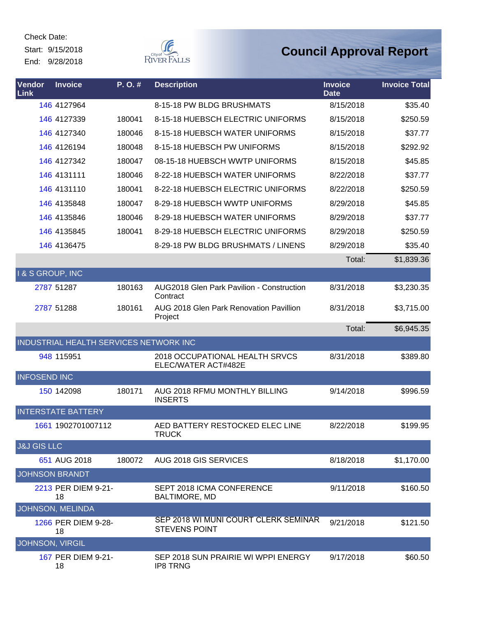Start: 9/15/2018 End: 9/28/2018



| Vendor<br>Link              | <b>Invoice</b>                         | P.O.#  | <b>Description</b>                                           | <b>Invoice</b><br><b>Date</b> | <b>Invoice Total</b> |
|-----------------------------|----------------------------------------|--------|--------------------------------------------------------------|-------------------------------|----------------------|
|                             | 146 4127964                            |        | 8-15-18 PW BLDG BRUSHMATS                                    | 8/15/2018                     | \$35.40              |
|                             | 146 4127339                            | 180041 | 8-15-18 HUEBSCH ELECTRIC UNIFORMS                            | 8/15/2018                     | \$250.59             |
|                             | 146 4127340                            | 180046 | 8-15-18 HUEBSCH WATER UNIFORMS                               | 8/15/2018                     | \$37.77              |
|                             | 146 4126194                            | 180048 | 8-15-18 HUEBSCH PW UNIFORMS                                  | 8/15/2018                     | \$292.92             |
|                             | 146 4127342                            | 180047 | 08-15-18 HUEBSCH WWTP UNIFORMS                               | 8/15/2018                     | \$45.85              |
|                             | 146 4131111                            | 180046 | 8-22-18 HUEBSCH WATER UNIFORMS                               | 8/22/2018                     | \$37.77              |
|                             | 146 4131110                            | 180041 | 8-22-18 HUEBSCH ELECTRIC UNIFORMS                            | 8/22/2018                     | \$250.59             |
|                             | 146 4135848                            | 180047 | 8-29-18 HUEBSCH WWTP UNIFORMS                                | 8/29/2018                     | \$45.85              |
|                             | 146 4135846                            | 180046 | 8-29-18 HUEBSCH WATER UNIFORMS                               | 8/29/2018                     | \$37.77              |
|                             | 146 4135845                            | 180041 | 8-29-18 HUEBSCH ELECTRIC UNIFORMS                            | 8/29/2018                     | \$250.59             |
|                             | 146 4136475                            |        | 8-29-18 PW BLDG BRUSHMATS / LINENS                           | 8/29/2018                     | \$35.40              |
|                             |                                        |        |                                                              | Total:                        | \$1,839.36           |
| <b>I &amp; S GROUP, INC</b> |                                        |        |                                                              |                               |                      |
|                             | 2787 51287                             | 180163 | <b>AUG2018 Glen Park Pavilion - Construction</b><br>Contract | 8/31/2018                     | \$3,230.35           |
|                             | 2787 51288                             | 180161 | AUG 2018 Glen Park Renovation Pavillion<br>Project           | 8/31/2018                     | \$3,715.00           |
|                             |                                        |        |                                                              | Total:                        | \$6,945.35           |
|                             | INDUSTRIAL HEALTH SERVICES NETWORK INC |        |                                                              |                               |                      |
|                             | 948 115951                             |        | 2018 OCCUPATIONAL HEALTH SRVCS<br>ELEC/WATER ACT#482E        | 8/31/2018                     | \$389.80             |
| <b>INFOSEND INC</b>         |                                        |        |                                                              |                               |                      |
|                             | 150 142098                             | 180171 | AUG 2018 RFMU MONTHLY BILLING<br><b>INSERTS</b>              | 9/14/2018                     | \$996.59             |
|                             | <b>INTERSTATE BATTERY</b>              |        |                                                              |                               |                      |
|                             | 1661 1902701007112                     |        | AED BATTERY RESTOCKED ELEC LINE<br><b>TRUCK</b>              | 8/22/2018                     | \$199.95             |
| <b>J&amp;J GIS LLC</b>      |                                        |        |                                                              |                               |                      |
|                             | 651 AUG 2018                           | 180072 | AUG 2018 GIS SERVICES                                        | 8/18/2018                     | \$1,170.00           |
|                             | <b>JOHNSON BRANDT</b>                  |        |                                                              |                               |                      |
|                             | 2213 PER DIEM 9-21-<br>18              |        | SEPT 2018 ICMA CONFERENCE<br><b>BALTIMORE, MD</b>            | 9/11/2018                     | \$160.50             |
|                             | JOHNSON, MELINDA                       |        |                                                              |                               |                      |
|                             | 1266 PER DIEM 9-28-<br>18              |        | SEP 2018 WI MUNI COURT CLERK SEMINAR<br><b>STEVENS POINT</b> | 9/21/2018                     | \$121.50             |
| <b>JOHNSON, VIRGIL</b>      |                                        |        |                                                              |                               |                      |
|                             | 167 PER DIEM 9-21-<br>18               |        | SEP 2018 SUN PRAIRIE WI WPPI ENERGY<br><b>IP8 TRNG</b>       | 9/17/2018                     | \$60.50              |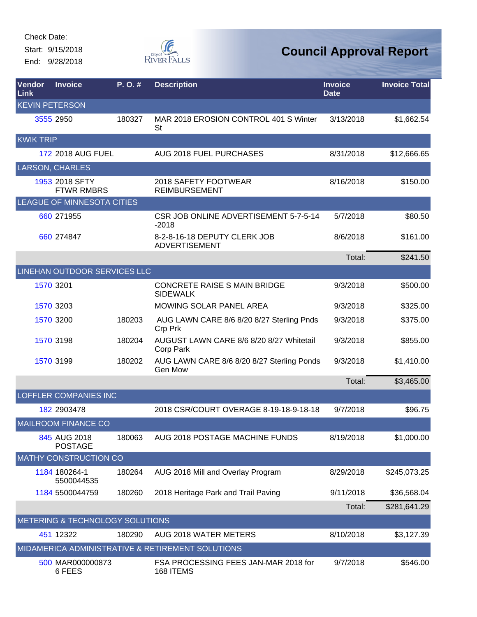Start: 9/15/2018 End: 9/28/2018



| Vendor<br>Link        | <b>Invoice</b>                      | P.O.#  | <b>Description</b>                                     | <b>Invoice</b><br><b>Date</b> | <b>Invoice Total</b> |
|-----------------------|-------------------------------------|--------|--------------------------------------------------------|-------------------------------|----------------------|
| <b>KEVIN PETERSON</b> |                                     |        |                                                        |                               |                      |
|                       | 3555 2950                           | 180327 | MAR 2018 EROSION CONTROL 401 S Winter<br>St            | 3/13/2018                     | \$1,662.54           |
| <b>KWIK TRIP</b>      |                                     |        |                                                        |                               |                      |
|                       | <b>172 2018 AUG FUEL</b>            |        | AUG 2018 FUEL PURCHASES                                | 8/31/2018                     | \$12,666.65          |
|                       | <b>LARSON, CHARLES</b>              |        |                                                        |                               |                      |
|                       | 1953 2018 SFTY<br><b>FTWR RMBRS</b> |        | 2018 SAFETY FOOTWEAR<br><b>REIMBURSEMENT</b>           | 8/16/2018                     | \$150.00             |
|                       | LEAGUE OF MINNESOTA CITIES          |        |                                                        |                               |                      |
|                       | 660 271955                          |        | CSR JOB ONLINE ADVERTISEMENT 5-7-5-14<br>$-2018$       | 5/7/2018                      | \$80.50              |
|                       | 660 274847                          |        | 8-2-8-16-18 DEPUTY CLERK JOB<br><b>ADVERTISEMENT</b>   | 8/6/2018                      | \$161.00             |
|                       |                                     |        |                                                        | Total:                        | \$241.50             |
|                       | LINEHAN OUTDOOR SERVICES LLC        |        |                                                        |                               |                      |
|                       | 1570 3201                           |        | <b>CONCRETE RAISE S MAIN BRIDGE</b><br><b>SIDEWALK</b> | 9/3/2018                      | \$500.00             |
|                       | 1570 3203                           |        | MOWING SOLAR PANEL AREA                                | 9/3/2018                      | \$325.00             |
|                       | 1570 3200                           | 180203 | AUG LAWN CARE 8/6 8/20 8/27 Sterling Pnds<br>Crp Prk   | 9/3/2018                      | \$375.00             |
|                       | 1570 3198                           | 180204 | AUGUST LAWN CARE 8/6 8/20 8/27 Whitetail<br>Corp Park  | 9/3/2018                      | \$855.00             |
|                       | 1570 3199                           | 180202 | AUG LAWN CARE 8/6 8/20 8/27 Sterling Ponds<br>Gen Mow  | 9/3/2018                      | \$1,410.00           |
|                       |                                     |        |                                                        | Total:                        | \$3,465.00           |
|                       | <b>LOFFLER COMPANIES INC</b>        |        |                                                        |                               |                      |
|                       | 182 2903478                         |        | 2018 CSR/COURT OVERAGE 8-19-18-9-18-18                 | 9/7/2018                      | \$96.75              |
|                       | <b>MAILROOM FINANCE CO</b>          |        |                                                        |                               |                      |
|                       | 845 AUG 2018<br><b>POSTAGE</b>      | 180063 | AUG 2018 POSTAGE MACHINE FUNDS                         | 8/19/2018                     | \$1,000.00           |
|                       | <b>MATHY CONSTRUCTION CO</b>        |        |                                                        |                               |                      |
|                       | 1184 180264-1<br>5500044535         | 180264 | AUG 2018 Mill and Overlay Program                      | 8/29/2018                     | \$245,073.25         |
|                       | 1184 5500044759                     | 180260 | 2018 Heritage Park and Trail Paving                    | 9/11/2018                     | \$36,568.04          |
|                       |                                     |        |                                                        | Total:                        | \$281,641.29         |
|                       | METERING & TECHNOLOGY SOLUTIONS     |        |                                                        |                               |                      |
|                       | 451 12322                           | 180290 | AUG 2018 WATER METERS                                  | 8/10/2018                     | \$3,127.39           |
|                       |                                     |        | MIDAMERICA ADMINISTRATIVE & RETIREMENT SOLUTIONS       |                               |                      |
|                       | 500 MAR000000873<br>6 FEES          |        | FSA PROCESSING FEES JAN-MAR 2018 for<br>168 ITEMS      | 9/7/2018                      | \$546.00             |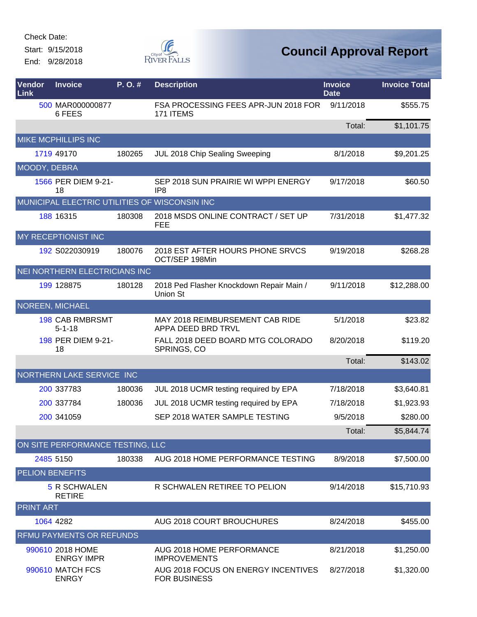Start: 9/15/2018 End: 9/28/2018



| Vendor<br>Link   | <b>Invoice</b>                                | P.O.#  | <b>Description</b>                                         | <b>Invoice</b><br><b>Date</b> | <b>Invoice Total</b> |
|------------------|-----------------------------------------------|--------|------------------------------------------------------------|-------------------------------|----------------------|
|                  | 500 MAR000000877<br>6 FEES                    |        | FSA PROCESSING FEES APR-JUN 2018 FOR<br>171 ITEMS          | 9/11/2018                     | \$555.75             |
|                  |                                               |        |                                                            | Total:                        | \$1,101.75           |
|                  | MIKE MCPHILLIPS INC                           |        |                                                            |                               |                      |
|                  | 1719 49170                                    | 180265 | JUL 2018 Chip Sealing Sweeping                             | 8/1/2018                      | \$9,201.25           |
|                  | MOODY, DEBRA                                  |        |                                                            |                               |                      |
|                  | 1566 PER DIEM 9-21-<br>18                     |        | SEP 2018 SUN PRAIRIE WI WPPI ENERGY<br>IP <sub>8</sub>     | 9/17/2018                     | \$60.50              |
|                  | MUNICIPAL ELECTRIC UTILITIES OF WISCONSIN INC |        |                                                            |                               |                      |
|                  | 188 16315                                     | 180308 | 2018 MSDS ONLINE CONTRACT / SET UP<br><b>FEE</b>           | 7/31/2018                     | \$1,477.32           |
|                  | MY RECEPTIONIST INC                           |        |                                                            |                               |                      |
|                  | 192 S022030919                                | 180076 | 2018 EST AFTER HOURS PHONE SRVCS<br>OCT/SEP 198Min         | 9/19/2018                     | \$268.28             |
|                  | NEI NORTHERN ELECTRICIANS INC                 |        |                                                            |                               |                      |
|                  | 199 128875                                    | 180128 | 2018 Ped Flasher Knockdown Repair Main /<br>Union St       | 9/11/2018                     | \$12,288.00          |
|                  | NOREEN, MICHAEL                               |        |                                                            |                               |                      |
|                  | <b>198 CAB RMBRSMT</b><br>$5 - 1 - 18$        |        | MAY 2018 REIMBURSEMENT CAB RIDE<br>APPA DEED BRD TRVL      | 5/1/2018                      | \$23.82              |
|                  | 198 PER DIEM 9-21-<br>18                      |        | FALL 2018 DEED BOARD MTG COLORADO<br>SPRINGS, CO           | 8/20/2018                     | \$119.20             |
|                  |                                               |        |                                                            | Total:                        | \$143.02             |
|                  | NORTHERN LAKE SERVICE INC                     |        |                                                            |                               |                      |
|                  | 200 337783                                    | 180036 | JUL 2018 UCMR testing required by EPA                      | 7/18/2018                     | \$3,640.81           |
|                  | 200 337784                                    | 180036 | JUL 2018 UCMR testing required by EPA                      | 7/18/2018                     | \$1,923.93           |
|                  | 200 341059                                    |        | SEP 2018 WATER SAMPLE TESTING                              | 9/5/2018                      | \$280.00             |
|                  |                                               |        |                                                            | Total:                        | \$5,844.74           |
|                  | ON SITE PERFORMANCE TESTING, LLC              |        |                                                            |                               |                      |
|                  | 2485 5150                                     | 180338 | AUG 2018 HOME PERFORMANCE TESTING                          | 8/9/2018                      | \$7,500.00           |
|                  | <b>PELION BENEFITS</b>                        |        |                                                            |                               |                      |
|                  | 5 R SCHWALEN<br><b>RETIRE</b>                 |        | R SCHWALEN RETIREE TO PELION                               | 9/14/2018                     | \$15,710.93          |
| <b>PRINT ART</b> |                                               |        |                                                            |                               |                      |
|                  | 1064 4282                                     |        | AUG 2018 COURT BROUCHURES                                  | 8/24/2018                     | \$455.00             |
|                  | RFMU PAYMENTS OR REFUNDS                      |        |                                                            |                               |                      |
|                  | 990610 2018 HOME<br><b>ENRGY IMPR</b>         |        | AUG 2018 HOME PERFORMANCE<br><b>IMPROVEMENTS</b>           | 8/21/2018                     | \$1,250.00           |
|                  | <b>990610 MATCH FCS</b><br><b>ENRGY</b>       |        | AUG 2018 FOCUS ON ENERGY INCENTIVES<br><b>FOR BUSINESS</b> | 8/27/2018                     | \$1,320.00           |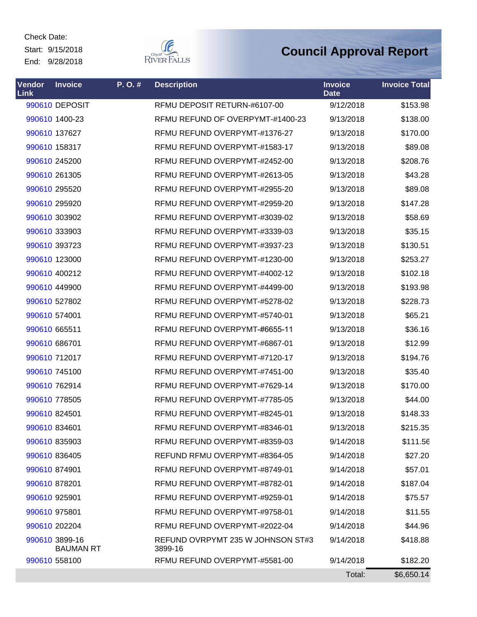Start: 9/15/2018 End: 9/28/2018



| Vendor<br>Link | <b>Invoice</b>                     | P.O.# | <b>Description</b>                           | <b>Invoice</b><br><b>Date</b> | <b>Invoice Total</b> |
|----------------|------------------------------------|-------|----------------------------------------------|-------------------------------|----------------------|
|                | 990610 DEPOSIT                     |       | RFMU DEPOSIT RETURN-#6107-00                 | 9/12/2018                     | \$153.98             |
|                | 990610 1400-23                     |       | RFMU REFUND OF OVERPYMT-#1400-23             | 9/13/2018                     | \$138.00             |
|                | 990610 137627                      |       | RFMU REFUND OVERPYMT-#1376-27                | 9/13/2018                     | \$170.00             |
|                | 990610 158317                      |       | RFMU REFUND OVERPYMT-#1583-17                | 9/13/2018                     | \$89.08              |
|                | 990610 245200                      |       | RFMU REFUND OVERPYMT-#2452-00                | 9/13/2018                     | \$208.76             |
|                | 990610 261305                      |       | RFMU REFUND OVERPYMT-#2613-05                | 9/13/2018                     | \$43.28              |
|                | 990610 295520                      |       | RFMU REFUND OVERPYMT-#2955-20                | 9/13/2018                     | \$89.08              |
|                | 990610 295920                      |       | RFMU REFUND OVERPYMT-#2959-20                | 9/13/2018                     | \$147.28             |
|                | 990610 303902                      |       | RFMU REFUND OVERPYMT-#3039-02                | 9/13/2018                     | \$58.69              |
|                | 990610 333903                      |       | RFMU REFUND OVERPYMT-#3339-03                | 9/13/2018                     | \$35.15              |
|                | 990610 393723                      |       | RFMU REFUND OVERPYMT-#3937-23                | 9/13/2018                     | \$130.51             |
|                | 990610 123000                      |       | RFMU REFUND OVERPYMT-#1230-00                | 9/13/2018                     | \$253.27             |
|                | 990610 400212                      |       | RFMU REFUND OVERPYMT-#4002-12                | 9/13/2018                     | \$102.18             |
|                | 990610 449900                      |       | RFMU REFUND OVERPYMT-#4499-00                | 9/13/2018                     | \$193.98             |
|                | 990610 527802                      |       | RFMU REFUND OVERPYMT-#5278-02                | 9/13/2018                     | \$228.73             |
|                | 990610 574001                      |       | RFMU REFUND OVERPYMT-#5740-01                | 9/13/2018                     | \$65.21              |
|                | 990610 665511                      |       | RFMU REFUND OVERPYMT-#6655-11                | 9/13/2018                     | \$36.16              |
|                | 990610 686701                      |       | RFMU REFUND OVERPYMT-#6867-01                | 9/13/2018                     | \$12.99              |
|                | 990610 712017                      |       | RFMU REFUND OVERPYMT-#7120-17                | 9/13/2018                     | \$194.76             |
|                | 990610 745100                      |       | RFMU REFUND OVERPYMT-#7451-00                | 9/13/2018                     | \$35.40              |
|                | 990610 762914                      |       | RFMU REFUND OVERPYMT-#7629-14                | 9/13/2018                     | \$170.00             |
|                | 990610 778505                      |       | RFMU REFUND OVERPYMT-#7785-05                | 9/13/2018                     | \$44.00              |
|                | 990610 824501                      |       | RFMU REFUND OVERPYMT-#8245-01                | 9/13/2018                     | \$148.33             |
|                | 990610 834601                      |       | RFMU REFUND OVERPYMT-#8346-01                | 9/13/2018                     | \$215.35             |
|                | 990610 835903                      |       | RFMU REFUND OVERPYMT-#8359-03                | 9/14/2018                     | \$111.56             |
|                | 990610 836405                      |       | REFUND RFMU OVERPYMT-#8364-05                | 9/14/2018                     | \$27.20              |
|                | 990610 874901                      |       | RFMU REFUND OVERPYMT-#8749-01                | 9/14/2018                     | \$57.01              |
|                | 990610 878201                      |       | RFMU REFUND OVERPYMT-#8782-01                | 9/14/2018                     | \$187.04             |
|                | 990610 925901                      |       | RFMU REFUND OVERPYMT-#9259-01                | 9/14/2018                     | \$75.57              |
|                | 990610 975801                      |       | RFMU REFUND OVERPYMT-#9758-01                | 9/14/2018                     | \$11.55              |
|                | 990610 202204                      |       | RFMU REFUND OVERPYMT-#2022-04                | 9/14/2018                     | \$44.96              |
|                | 990610 3899-16<br><b>BAUMAN RT</b> |       | REFUND OVRPYMT 235 W JOHNSON ST#3<br>3899-16 | 9/14/2018                     | \$418.88             |
|                | 990610 558100                      |       | RFMU REFUND OVERPYMT-#5581-00                | 9/14/2018                     | \$182.20             |
|                |                                    |       |                                              | Total:                        | \$6,650.14           |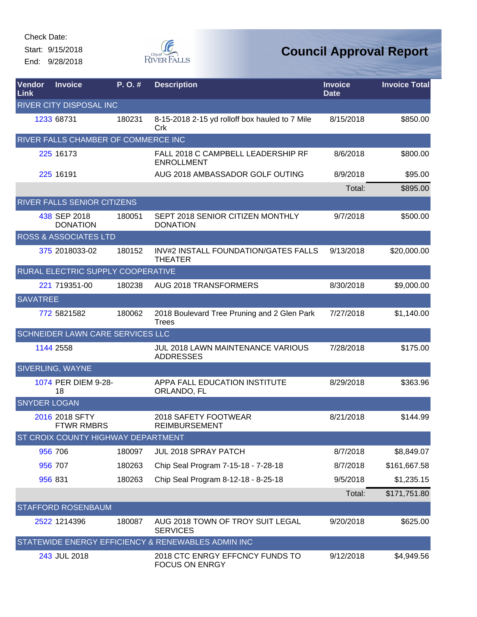Start: 9/15/2018 End: 9/28/2018



| Vendor<br>Link      | <b>Invoice</b>                            | P.O.#  | <b>Description</b>                                          | <b>Invoice</b><br><b>Date</b> | <b>Invoice Total</b> |
|---------------------|-------------------------------------------|--------|-------------------------------------------------------------|-------------------------------|----------------------|
|                     | RIVER CITY DISPOSAL INC                   |        |                                                             |                               |                      |
|                     | 1233 68731                                | 180231 | 8-15-2018 2-15 yd rolloff box hauled to 7 Mile<br>Crk       | 8/15/2018                     | \$850.00             |
|                     | RIVER FALLS CHAMBER OF COMMERCE INC       |        |                                                             |                               |                      |
|                     | 225 16173                                 |        | FALL 2018 C CAMPBELL LEADERSHIP RF<br><b>ENROLLMENT</b>     | 8/6/2018                      | \$800.00             |
|                     | 225 16191                                 |        | AUG 2018 AMBASSADOR GOLF OUTING                             | 8/9/2018                      | \$95.00              |
|                     |                                           |        |                                                             | Total:                        | \$895.00             |
|                     | RIVER FALLS SENIOR CITIZENS               |        |                                                             |                               |                      |
|                     | 438 SEP 2018<br><b>DONATION</b>           | 180051 | SEPT 2018 SENIOR CITIZEN MONTHLY<br><b>DONATION</b>         | 9/7/2018                      | \$500.00             |
|                     | <b>ROSS &amp; ASSOCIATES LTD</b>          |        |                                                             |                               |                      |
|                     | 375 2018033-02                            | 180152 | INV#2 INSTALL FOUNDATION/GATES FALLS<br><b>THEATER</b>      | 9/13/2018                     | \$20,000.00          |
|                     | RURAL ELECTRIC SUPPLY COOPERATIVE         |        |                                                             |                               |                      |
|                     | 221 719351-00                             | 180238 | AUG 2018 TRANSFORMERS                                       | 8/30/2018                     | \$9,000.00           |
| <b>SAVATREE</b>     |                                           |        |                                                             |                               |                      |
|                     | 772 5821582                               | 180062 | 2018 Boulevard Tree Pruning and 2 Glen Park<br><b>Trees</b> | 7/27/2018                     | \$1,140.00           |
|                     | SCHNEIDER LAWN CARE SERVICES LLC          |        |                                                             |                               |                      |
|                     | 1144 2558                                 |        | JUL 2018 LAWN MAINTENANCE VARIOUS<br><b>ADDRESSES</b>       | 7/28/2018                     | \$175.00             |
|                     | SIVERLING, WAYNE                          |        |                                                             |                               |                      |
|                     | 1074 PER DIEM 9-28-<br>18                 |        | APPA FALL EDUCATION INSTITUTE<br>ORLANDO, FL                | 8/29/2018                     | \$363.96             |
| <b>SNYDER LOGAN</b> |                                           |        |                                                             |                               |                      |
|                     | 2016 2018 SFTY<br><b>FTWR RMBRS</b>       |        | 2018 SAFETY FOOTWEAR<br><b>REIMBURSEMENT</b>                | 8/21/2018                     | \$144.99             |
|                     | <b>ST CROIX COUNTY HIGHWAY DEPARTMENT</b> |        |                                                             |                               |                      |
|                     | 956 706                                   | 180097 | JUL 2018 SPRAY PATCH                                        | 8/7/2018                      | \$8,849.07           |
|                     | 956 707                                   | 180263 | Chip Seal Program 7-15-18 - 7-28-18                         | 8/7/2018                      | \$161,667.58         |
|                     | 956 831                                   | 180263 | Chip Seal Program 8-12-18 - 8-25-18                         | 9/5/2018                      | \$1,235.15           |
|                     |                                           |        |                                                             | Total:                        | \$171,751.80         |
|                     | <b>STAFFORD ROSENBAUM</b>                 |        |                                                             |                               |                      |
|                     | 2522 1214396                              | 180087 | AUG 2018 TOWN OF TROY SUIT LEGAL<br><b>SERVICES</b>         | 9/20/2018                     | \$625.00             |
|                     |                                           |        | STATEWIDE ENERGY EFFICIENCY & RENEWABLES ADMIN INC          |                               |                      |
|                     | 243 JUL 2018                              |        | 2018 CTC ENRGY EFFCNCY FUNDS TO<br><b>FOCUS ON ENRGY</b>    | 9/12/2018                     | \$4,949.56           |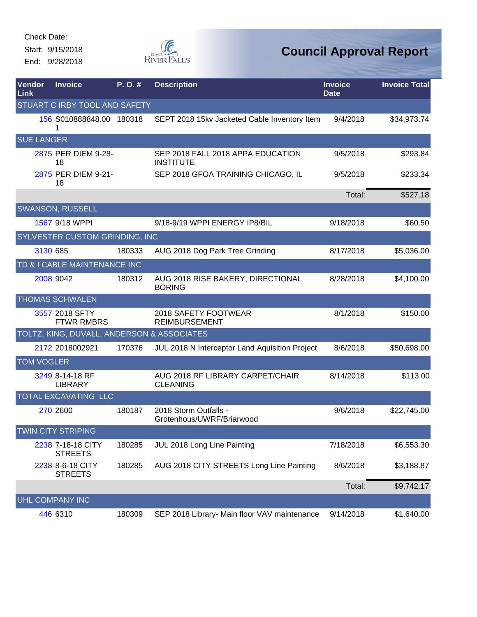Start: 9/15/2018 End: 9/28/2018



| <b>Vendor</b><br>Link | <b>Invoice</b>                             | P.O.#  | <b>Description</b>                                    | <b>Invoice</b><br><b>Date</b> | <b>Invoice Total</b> |
|-----------------------|--------------------------------------------|--------|-------------------------------------------------------|-------------------------------|----------------------|
|                       | STUART C IRBY TOOL AND SAFETY              |        |                                                       |                               |                      |
|                       | 156 S010888848.00 180318<br>1              |        | SEPT 2018 15kv Jacketed Cable Inventory Item          | 9/4/2018                      | \$34,973.74          |
|                       | <b>SUE LANGER</b>                          |        |                                                       |                               |                      |
|                       | 2875 PER DIEM 9-28-<br>18                  |        | SEP 2018 FALL 2018 APPA EDUCATION<br><b>INSTITUTE</b> | 9/5/2018                      | \$293.84             |
|                       | 2875 PER DIEM 9-21-<br>18                  |        | SEP 2018 GFOA TRAINING CHICAGO, IL                    | 9/5/2018                      | \$233.34             |
|                       |                                            |        |                                                       | Total:                        | \$527.18             |
|                       | <b>SWANSON, RUSSELL</b>                    |        |                                                       |                               |                      |
|                       | 1567 9/18 WPPI                             |        | 9/18-9/19 WPPI ENERGY IP8/BIL                         | 9/18/2018                     | \$60.50              |
|                       | <b>SYLVESTER CUSTOM GRINDING, INC</b>      |        |                                                       |                               |                      |
|                       | 3130 685                                   | 180333 | AUG 2018 Dog Park Tree Grinding                       | 8/17/2018                     | \$5,036.00           |
|                       | TD & I CABLE MAINTENANCE INC               |        |                                                       |                               |                      |
|                       | 2008 9042                                  | 180312 | AUG 2018 RISE BAKERY, DIRECTIONAL<br><b>BORING</b>    | 8/28/2018                     | \$4,100.00           |
|                       | <b>THOMAS SCHWALEN</b>                     |        |                                                       |                               |                      |
|                       | 3557 2018 SFTY<br><b>FTWR RMBRS</b>        |        | 2018 SAFETY FOOTWEAR<br><b>REIMBURSEMENT</b>          | 8/1/2018                      | \$150.00             |
|                       | TOLTZ, KING, DUVALL, ANDERSON & ASSOCIATES |        |                                                       |                               |                      |
|                       | 2172 2018002921                            | 170376 | JUL 2018 N Interceptor Land Aquisition Project        | 8/6/2018                      | \$50,698.00          |
|                       | <b>TOM VOGLER</b>                          |        |                                                       |                               |                      |
|                       | 3249 8-14-18 RF<br><b>LIBRARY</b>          |        | AUG 2018 RF LIBRARY CARPET/CHAIR<br><b>CLEANING</b>   | 8/14/2018                     | \$113.00             |
|                       | TOTAL EXCAVATING LLC                       |        |                                                       |                               |                      |
|                       | 270 2600                                   | 180187 | 2018 Storm Outfalls -<br>Grotenhous/UWRF/Briarwood    | 9/6/2018                      | \$22,745.00          |
|                       | <b>TWIN CITY STRIPING</b>                  |        |                                                       |                               |                      |
|                       | 2238 7-18-18 CITY<br><b>STREETS</b>        | 180285 | JUL 2018 Long Line Painting                           | 7/18/2018                     | \$6,553.30           |
|                       | 2238 8-6-18 CITY<br><b>STREETS</b>         | 180285 | AUG 2018 CITY STREETS Long Line Painting              | 8/6/2018                      | \$3,188.87           |
|                       |                                            |        |                                                       | Total:                        | \$9,742.17           |
|                       | <b>UHL COMPANY INC</b>                     |        |                                                       |                               |                      |
|                       | 446 6310                                   | 180309 | SEP 2018 Library- Main floor VAV maintenance          | 9/14/2018                     | \$1,640.00           |